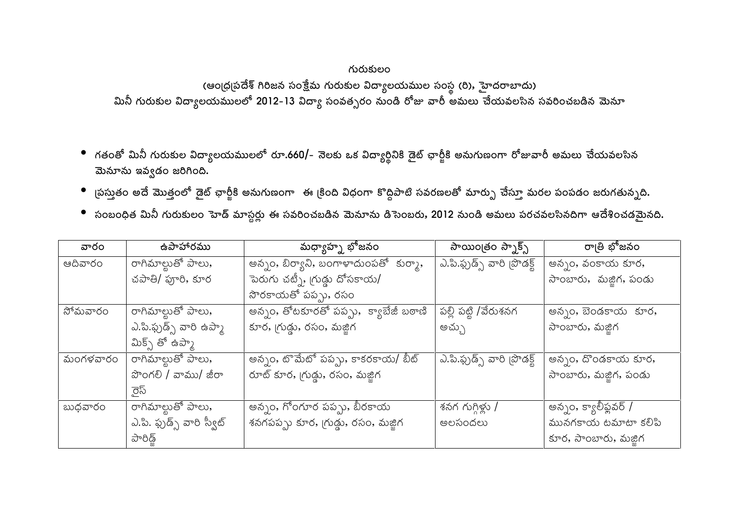## గురుకులం

(ఆంధ్రప్రదేశ్ గిరిజన సంక్షేమ గురుకుల విద్యాలయముల సంస్థ (రి), హైదరాబాదు) మినీ గురుకుల విద్యాలయములలో 2012-13 విద్యా సంవత్సరం నుండి రోజు వారీ అమలు చేయవలసిన సవరించబడిన మెనూ

- గతంతో మినీ గురుకుల విద్యాలయములలో రూ.660/– నెలకు ఒక విద్యార్థినికి డైట్ ఛార్జీకి అనుగుణంగా రోజువారీ అమలు చేయవలసిన మెనూను ఇవ్వడం జరిగింది.
- ్రపస్తుతం అదే మొత్తంలో డైట్ ఛార్జీకి అనుగుణంగా ఈ క్రింది విధంగా కొద్దిపాటి సవరణలతో మార్పు చేస్తూ మరల పంపడం జరుగతున్నది.
- సంబంధిత మినీ గురుకులం హెడ్ మాస్టర్లు ఈ సవరించబడిన మెనూను డిసెంబరు, 2012 నుండి అమలు పరచవలసినదిగా ఆదేశించడమైనది.

| వారం     | ఉపాహారము                   | మధ్యాహ్న భోజనం                        | సాయింౖతం స్నాక్స్           | రా౹తి భోజనం           |
|----------|----------------------------|---------------------------------------|-----------------------------|-----------------------|
| ఆదివారం  | రాగిమాల్టుతో పాలు,         | అన్నం, బిర్యాని, బంగాళాదుంపతో కుర్మా, | ఎ.పి.ఫ్రుడ్స్ వారి (పొడక్ట్ | అన్నం, వంకాయ కూర,     |
|          | చపాతి/ ఫూరి, కూర           | పెరుగు చట్నీ, గ్రుడ్డు దోసకాయ/        |                             | సాంబారు, మజ్జిగ, పండు |
|          |                            | సొరకాయతో పప్పు, రసం                   |                             |                       |
| సోమవారం  | రాగిమాల్టుతో పాలు,         | అన్నం, తోటకూరతో పప్పు, క్యాబేజీ బఠాణి | పల్లి పట్టి /వేరుశనగ        | అన్నం, బెండకాయ కూర,   |
|          | ఎ.పి.ఫ్రుడ్స్ వారి ఉప్మా   | కూర, గుడ్లు, రసం, మజ్జిగ              | అచ్చు                       | సాంబారు, మజ్జిగ       |
|          | మిక్స్ తో ఉప్మా            |                                       |                             |                       |
| మంగళవారం | రాగిమాల్టుతో పాలు,         | తెన్నం, టొమేటో పప్పు, కాకరకాయ/ బీట్   | ఎ.పి.ఫ్రుడ్స్ వారి [పొడక్ట్ | అన్నం, దొండకాయ కూర,   |
|          | పొంగలి / వాము/ జీరా        | రూట్ కూర, గ్రుడ్డు, రసం, మజ్జిగ       |                             | సాంబారు, మజ్జిగ, పండు |
|          | ైస్                        |                                       |                             |                       |
| బుధవారం  | రాగిమాల్టుతో పాలు,         | అన్నం, గోంగూర పప్పు, బీరకాయ           | శనగ గుగ్గిళ్లు /            | అన్నం, క్యాలీఫ్లవర్ / |
|          | ఎ.పి. ఫ్రుడ్స్ వారి స్వీట్ | శనగపప్పు కూర, గ్రుడ్డు, రసం, మజ్జిగ   | అలసందలు                     | మునగకాయ టమాటా కలిపి   |
|          | పారిడ్డ్                   |                                       |                             | కూర, సాంబారు, మజ్జిగ  |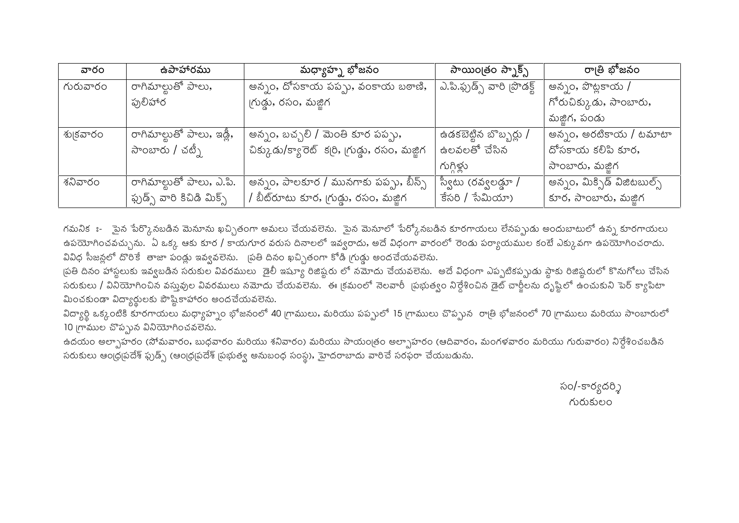| వారం     | ఉపాహారము                           | మధ్యాహ్న భోజనం                                 | సాయింౖతం స్బాక్స్           | రా౹తి భోజనం                 |
|----------|------------------------------------|------------------------------------------------|-----------------------------|-----------------------------|
| గురువారం | ంగిమాల్టుతో పాలు <b>,</b>          | అన్నం, దోసకాయ పప్పు, వంకాయ బఠాణి,              | ఎ.పి.ఫ్చుడ్స్ వారి [పొడక్ట్ | అన్నం, పొట్టకాయ /           |
|          | ఫ్రులిహార                          | గ్రుడ్డు, రసం, మజ్జిగ                          |                             | గోరుచిక్కుడు, సాంబారు,      |
|          |                                    |                                                |                             | మజ్జిగ, పండు                |
| శు౹కవారం | రాగిమాల్టుతో పాలు, ఇ <u>డ్ల</u> ీ, | అన్నం, బచ్చలి / మెంతి కూర పప్పు,               | ఉడకబెట్టిన బొబ్బర్లు /      | అన్నం, అరటికాయ / టమాటా      |
|          | సాంబారు / చట్నీ                    | చిక్కుడు/క్యారెట్ కర్రి, గ్రుడ్డు, రసం, మజ్జిగ | ఉలవలతో చేసిన                | దోసకాయ కలిపి కూర,           |
|          |                                    |                                                | గుగ్గిళ్లు                  | సాంబారు, మజ్జిగ             |
| శనివారం  | రాగిమాల్టుతో పాలు, ఎ.పి.           | అన్నం, పాలకూర / మునగాకు పప్పు, బీన్స్          | స్వీటు (రవ్వలడ్డూ /         | అన్నం, మిక్సిడ్ విజిటబుల్స్ |
|          | ఫ్చుడ్స్ వారి కిచిడి మిక్స్        | / బీట్రూటు కూర, గ్రుడ్డు, రసం, మజ్జిగ          | $\frac{2}{3}$ సమీయా)        | కూర, సాంబారు, మజ్జిగ        |

గమనికః- ైపైన పేర్కొనబడిన మెనూను ఖచ్చితంగా అమలు చేయవలెను. ైపైన మెనూలో పేర్కోనబడిన కూరగాయలు లేనప్పుడు అందుబాటులో ఉన్న కూరగాయలు ఉపయోగించవచ్చును. ఏ ఒక్క ఆకు కూర / కాయగూర వరుస దినాలలో ఇవ్వరాదు, అదే విధంగా వారంలో రెండు పర్యాయముల కంటే ఎక్కువగా ఉపయోగించరాదు. వివిధ సీజన్లలో దొరికే తాజా పండ్లు ఇవ్వవలెను. (పతి దినం ఖచ్చితంగా కోడి గ్రుడ్డు అందచేయవలెను.

త్రతి దినం హాస్థలుకు ఇవ్వబడిన సరుకుల వివరములు డైలీ ఇష్యూ రిజిష్టరు లో నమోదు చేయవలెను. అదే విధంగా ఎప్పటికప్పుడు స్థాకు రిజిష్టరులో కొనుగోలు చేసిన సరుకులు / వినియోగించిన వస్తువుల వివరములు నమోదు చేయవలెను. `ఈ క్రమంలో నెలవారీ `ప్రభుత్వం నిర్దేశించిన డైట్ చార్జీలను దృష్టిలో ఉంచుకుని పెర్ క్యాపిటా మించకుండా విద్యార్థులకు పౌష్టికాహారం అందచేయవలెను.

విద్యార్థి ఒక్కంటికి కూరగాయలు మధ్యాహ్నం భోజనంలో 40 గ్రాములు, మరియు పప్పులో 15 గ్రాములు చొప్పున రాత్రి భోజనంలో 70 గ్రాములు మరియు సాంబారులో 10 గ్రాముల చొప్పున వినియోగించవలేను.

ఉదయం అల్పాహరం (సోమవారం, బుధవారం మరియు శనివారం) మరియు సాయంత్రం అల్పాహరం (ఆదివారం, మంగళవారం మరియు గురువారం) నిర్దేశించబడిన సరుకులు ఆంధ్రప్రదేశ్ ఫ్రుడ్స్ (ఆంధ్రప్రదేశ్ ప్రభుత్వ అనుబంధ సంస్థ), హైదరాబాదు వారిచే సరఫరా చేయబడును.

> సం/-కార్యదర్శి గురుకులం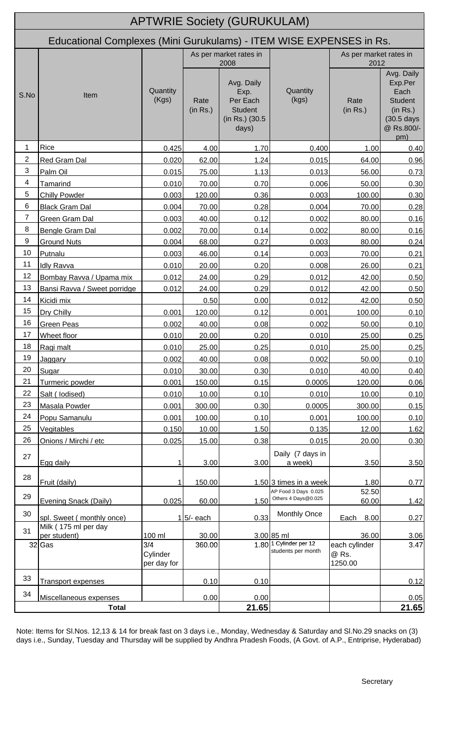|                |                                                                     |                                |                                | <b>APTWRIE Society (GURUKULAM)</b>                                           |                                                         |                                   |                                                                                                |
|----------------|---------------------------------------------------------------------|--------------------------------|--------------------------------|------------------------------------------------------------------------------|---------------------------------------------------------|-----------------------------------|------------------------------------------------------------------------------------------------|
|                | Educational Complexes (Mini Gurukulams) - ITEM WISE EXPENSES in Rs. |                                |                                |                                                                              |                                                         |                                   |                                                                                                |
|                |                                                                     |                                | As per market rates in<br>2008 |                                                                              |                                                         | As per market rates in<br>2012    |                                                                                                |
| S.No           | Item                                                                | Quantity<br>(Kgs)              | Rate<br>(in Rs.)               | Avg. Daily<br>Exp.<br>Per Each<br><b>Student</b><br>(in Rs.) (30.5)<br>days) | Quantity<br>(kgs)                                       | Rate<br>(in Rs.)                  | Avg. Daily<br>Exp.Per<br>Each<br><b>Student</b><br>(in Rs.)<br>(30.5 days<br>@ Rs.800/-<br>pm) |
| 1              | Rice                                                                | 0.425                          | 4.00                           | 1.70                                                                         | 0.400                                                   | 1.00                              | 0.40                                                                                           |
| $\overline{2}$ | Red Gram Dal                                                        | 0.020                          | 62.00                          | 1.24                                                                         | 0.015                                                   | 64.00                             | 0.96                                                                                           |
| 3              | Palm Oil                                                            | 0.015                          | 75.00                          | 1.13                                                                         | 0.013                                                   | 56.00                             | 0.73                                                                                           |
| 4              | Tamarind                                                            | 0.010                          | 70.00                          | 0.70                                                                         | 0.006                                                   | 50.00                             | 0.30                                                                                           |
| 5              | <b>Chilly Powder</b>                                                | 0.003                          | 120.00                         | 0.36                                                                         | 0.003                                                   | 100.00                            | 0.30                                                                                           |
| 6              | <b>Black Gram Dal</b>                                               | 0.004                          | 70.00                          | 0.28                                                                         | 0.004                                                   | 70.00                             | 0.28                                                                                           |
| $\overline{7}$ | Green Gram Dal                                                      | 0.003                          | 40.00                          | 0.12                                                                         | 0.002                                                   | 80.00                             | 0.16                                                                                           |
| 8              | <b>Bengle Gram Dal</b>                                              | 0.002                          | 70.00                          | 0.14                                                                         | 0.002                                                   | 80.00                             | 0.16                                                                                           |
| 9              | <b>Ground Nuts</b>                                                  | 0.004                          | 68.00                          | 0.27                                                                         | 0.003                                                   | 80.00                             | 0.24                                                                                           |
| 10             | Putnalu                                                             | 0.003                          | 46.00                          | 0.14                                                                         | 0.003                                                   | 70.00                             | 0.21                                                                                           |
| 11             | Idly Ravva                                                          | 0.010                          | 20.00                          | 0.20                                                                         | 0.008                                                   | 26.00                             | 0.21                                                                                           |
| 12             | Bombay Ravva / Upama mix                                            | 0.012                          | 24.00                          | 0.29                                                                         | 0.012                                                   | 42.00                             | 0.50                                                                                           |
| 13             | Bansi Ravva / Sweet porridge                                        | 0.012                          | 24.00                          | 0.29                                                                         | 0.012                                                   | 42.00                             | 0.50                                                                                           |
| 14             | Kicidi mix                                                          |                                | 0.50                           | 0.00                                                                         | 0.012                                                   | 42.00                             | 0.50                                                                                           |
| 15             | Dry Chilly                                                          | 0.001                          | 120.00                         | 0.12                                                                         | 0.001                                                   | 100.00                            | 0.10                                                                                           |
| 16             | <b>Green Peas</b>                                                   | 0.002                          | 40.00                          | 0.08                                                                         | 0.002                                                   | 50.00                             | 0.10                                                                                           |
| 17             | Wheet floor                                                         | 0.010                          | 20.00                          | 0.20                                                                         | 0.010                                                   | 25.00                             | 0.25                                                                                           |
| 18             | Ragi malt                                                           | 0.010                          | 25.00                          | 0.25                                                                         | 0.010                                                   | 25.00                             | 0.25                                                                                           |
| 19             | Jaggary                                                             | 0.002                          | 40.00                          | 0.08                                                                         | 0.002                                                   | 50.00                             | 0.10                                                                                           |
| 20             | Sugar                                                               | 0.010                          | 30.00                          | 0.30                                                                         | 0.010                                                   | 40.00                             | 0.40                                                                                           |
| 21             | Turmeric powder                                                     | 0.001                          | 150.00                         | 0.15                                                                         | 0.0005                                                  | 120.00                            | 0.06                                                                                           |
| 22             | Salt ( lodised)                                                     | 0.010                          | 10.00                          | 0.10                                                                         | 0.010                                                   | 10.00                             | 0.10                                                                                           |
| 23             | Masala Powder                                                       | 0.001                          | 300.00                         | 0.30                                                                         | 0.0005                                                  | 300.00                            | 0.15                                                                                           |
| 24             | Popu Samanulu                                                       | 0.001                          | 100.00                         | 0.10                                                                         | 0.001                                                   | 100.00                            | 0.10                                                                                           |
| 25             | <b>Vegitables</b>                                                   | 0.150                          | 10.00                          | 1.50                                                                         | 0.135                                                   | 12.00                             | 1.62                                                                                           |
| 26             | Onions / Mirchi / etc                                               | 0.025                          | 15.00                          | 0.38                                                                         | 0.015                                                   | 20.00                             | 0.30                                                                                           |
| 27             | Egg daily                                                           |                                | 3.00                           | 3.00                                                                         | Daily (7 days in<br>a week)                             | 3.50                              | 3.50                                                                                           |
| 28             | Fruit (daily)                                                       |                                | 150.00                         |                                                                              | 1.50 3 times in a week                                  | 1.80                              | 0.77                                                                                           |
| 29             | Evening Snack (Daily)                                               | 0.025                          | 60.00                          | 1.50                                                                         | AP Food 3 Days 0.025<br>Others 4 Days@0.025             | 52.50<br>60.00                    | 1.42                                                                                           |
| 30             | spl. Sweet (monthly once)                                           |                                | $15/-$ each                    | 0.33                                                                         | Monthly Once                                            | 8.00<br>Each                      | 0.27                                                                                           |
| 31             | Milk (175 ml per day<br>per student)                                | 100 ml                         | 30.00                          |                                                                              | 3.00 85 ml                                              | 36.00                             | 3.06                                                                                           |
| 32 Gas         |                                                                     | 3/4<br>Cylinder<br>per day for | 360.00                         |                                                                              | 1.80 <sup>1</sup> Cylinder per 12<br>students per month | each cylinder<br>@ Rs.<br>1250.00 | 3.47                                                                                           |
| 33             | <b>Transport expenses</b>                                           |                                | 0.10                           | 0.10                                                                         |                                                         |                                   | 0.12                                                                                           |
| 34             | Miscellaneous expenses                                              |                                | 0.00                           | 0.00                                                                         |                                                         |                                   | 0.05                                                                                           |
| <b>Total</b>   |                                                                     |                                | 21.65                          |                                                                              |                                                         | 21.65                             |                                                                                                |

Note: Items for Sl.Nos. 12,13 & 14 for break fast on 3 days i.e., Monday, Wednesday & Saturday and Sl.No.29 snacks on (3) days i.e., Sunday, Tuesday and Thursday will be supplied by Andhra Pradesh Foods, (A Govt. of A.P., Entriprise, Hyderabad)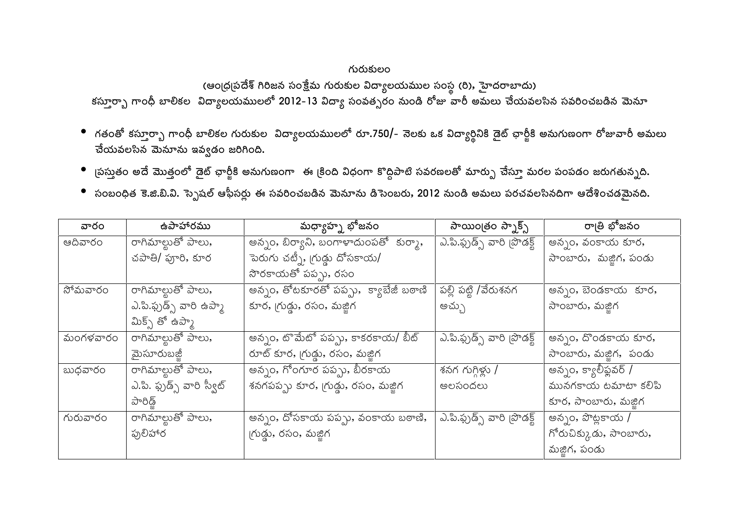## గురుకులం

## (ఆం(ధ్రప్రదేశ్ గిరిజన సంక్షేమ గురుకుల విద్యాలయముల సంస్థ (రి), హైదరాబాదు)

కస్తూర్భా గాంధీ బాలికల విద్యాలయములలో 2012-13 విద్యా సంవత్సరం నుండి రోజు వారీ అమలు చేయవలసిన సవరించబడిన మెనూ

- గతంతో కస్తూర్భా గాంధీ బాలికల గురుకుల విద్యాలయములలో రూ.750/- నెలకు ఒక విద్యార్థినికి డైట్ ఛార్జీకి అనుగుణంగా రోజువారీ అమలు చేయవలసిన మెనూను ఇవ్వడం జరిగింది.
- ్రపస్మతం అదే మొత్తంలో డైట్ ఛార్జీకి అనుగుణంగా ఈ క్రింది విధంగా కొద్దిపాటి సవరణలతో మార్పు చేస్తూ మరల పంపడం జరుగతున్నది.
- సంబంధిత కె.జి.బి.వి. స్పెషల్ ఆఫీసర్లు ఈ సవరించబడిన మెనూను డిసెంబరు, 2012 నుండి అమలు పరచవలసినదిగా ఆదేశించడమైనది.

| వారం     | ఉపాహారము                   | మధ్యాహ్న భోజనం                        | సాయింత్రం స్నాక్స్          | రా౹తి భోజనం            |
|----------|----------------------------|---------------------------------------|-----------------------------|------------------------|
| ఆదివారం  | రాగిమాల్టుతో పాలు,         | అన్నం, బిర్యాని, బంగాళాదుంపతో కుర్మా, | ఎ.పి.ఫ్రుడ్స్ వారి (పొడక్ట్ | అన్నం, వంకాయ కూర,      |
|          | చపాతి/ ఫూరి, కూర           | పెరుగు చట్నీ, గ్రుడ్డు దోసకాయ/        |                             | సాంబారు, మజ్జిగ, పండు  |
|          |                            | సొరకాయతో పప్పు, రసం                   |                             |                        |
| సోమవారం  | రాగిమాల్లుతో పాలు,         | అన్నం, తోటకూరతో పప్పు, క్యాబేజీ బఠాణి | పల్లి పట్టి /వేరుశనగ        | అన్నం, బెండకాయ కూర,    |
|          | ఎ.పి.ఫ్సుడ్స్ వారి ఉప్మా   | కూర, గ్రుడ్డు, రసం, మజ్జిగ            | అచ్చు                       | సాంబారు, మజ్జిగ        |
|          | మిక్స్ తో ఉప్మా            |                                       |                             |                        |
| మంగళవారం | రాగిమాల్లుతో పాలు,         | అన్నం, టొమేటో పప్పు, కాకరకాయ/ బీట్    | ఎ.పి.ఫ్రుడ్స్ వారి [పొడక్ట్ | అన్నం, దొండకాయ కూర,    |
|          | మైసూరుబజ్జీ                | రూట్ కూర, గ్రుడ్డు, రసం, మజ్జిగ       |                             | సాంబారు, మజ్జిగ, పండు  |
| బుధవారం  | రాగిమాల్టుతో పాలు,         | అన్నం, గోంగూర పప్పు, బీరకాయ           | శనగ గుగ్గిళ్లు /            | అన్నం, క్యాలీఫ్లవర్ /  |
|          | ఎ.పి. ఫ్రుడ్స్ వారి స్వీట్ | శనగపప్పు కూర, గ్రుడ్గు, రసం, మజ్జిగ   | అలసందలు                     | మునగకాయ టమాటా కలిపి    |
|          | పారిడ్                     |                                       |                             | కూర, సాంబారు, మజ్జిగ   |
| గురువారం | రాగిమాల్టుతో పాలు <b>,</b> | అన్నం, దోసకాయ పప్పు, వంకాయ బఠాణి,     | ఎ.పి.ఫ్రుడ్స్ వారి [పొడక్ట్ | అన్నం, పొట్లకాయ /      |
|          | ఫులిహార                    | గుడ్డు, రసం, మజ్జిగ                   |                             | గోరుచిక్కుడు, సాంబారు, |
|          |                            |                                       |                             | మజ్జిగ, పండు           |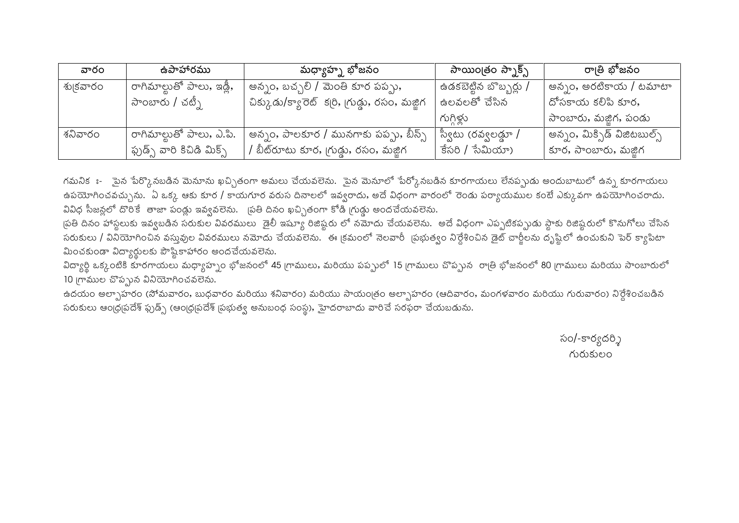| వారం     | ఉపాహారము                    | మధ్యాహ్న భోజనం                                 | సాయింౖతం స్నాక్స్      | రా౹తి భోజనం                   |
|----------|-----------------------------|------------------------------------------------|------------------------|-------------------------------|
| శు౹కవారం | ' రాగిమాల్టుతో పాలు, ఇడ్లీ, | అన్నం, బచ్చలి / మెంతి కూర పప్పు,               | ఉడకబెట్టిన బొబ్బర్లు / | అన్నం, అరటికాయ / టమాటా        |
|          | సాంబారు / చటీ <sub>)</sub>  | చిక్కుడు/క్యారెట్ కర్రి, గ్రుడ్డు, రసం, మజ్జిగ | ఉలవలతో చేసిన           | దోసకాయ కలిపి కూర,             |
|          |                             |                                                | గుగిళు                 | సాంబారు, మజ్జిగ, పండు         |
| శనివారం  | ' రాగిమాల్టుతో పాలు, ఎ.పి.  | అన్నం, పాలకూర / మునగాకు పప్పు, బీన్స్          | ్స్వీటు (రవ్వలడ్డూ /   | ' అన్నం, మిక్సిడ్ విజిటబుల్స్ |
|          | ఫ్ట్న వారి కిచిడి మిక్స్    | / బీట్రూటు కూర, గ్రుడ్డు, రసం, మజ్జిగ          | కేసరి / సేమియా)        | కూర, సాంబారు, మజ్జిగ          |

గమనికః- ైపైన పేర్కొనబడిన మెనూను ఖచ్చితంగా అమలు చేయవలెను. ైపైన మెనూలో పేర్కోనబడిన కూరగాయలు లేనప్పుడు అందుబాటులో ఉన్న కూరగాయలు ఉపయోగించవచ్చును. ఏ ఒక్క ఆకు కూర / కాయగూర వరుస దినాలలో ఇవ్వరాదు, అదే విధంగా వారంలో రెండు పర్యాయముల కంటే ఎక్కువగా ఉపయోగించరాదు. వివిధ సీజన్లలో దొరికే తాజా పండ్లు ఇవ్వవలెను. (పతి దినం ఖచ్చితంగా కోడి (గుడ్డు అందచేయవలెను.

త్రతి దినం హాస్టలుకు ఇవ్వబడిన సరుకుల వివరములు ెడైలీ ఇష్యూ రిజిష్టరు లో నమోదు చేయవలెను. అదే విధంగా ఎప్పటికప్పుడు స్టాకు రిజిష్టరులో కొనుగోలు చేసిన సరుకులు / వినియోగించిన వస్తువుల వివరములు నమోదు చేయవలెను. ఈ క్రమంలో నెలవారీ క్రభుత్వం నిర్దేశించిన డైట్ చార్జీలను దృష్టిలో ఉంచుకుని పెర్ క్యాపిటా మించకుండా విద్యార్థులకు పౌష్టికాహారం అందచేయవలెను.

విద్యార్థి ఒక్కంటికి కూరగాయలు మధ్యాహ్నం భోజనంలో 45 గ్రాములు, మరియు పప్పులో 15 గ్రాములు చొప్పున రాత్రి భోజనంలో 80 గ్రాములు మరియు సాంబారులో 10 గ్రాముల చొప్పున వినియోగించవలెను.

ఉదయం అల్సాహరం (సోమవారం, బుధవారం మరియు శనివారం) మరియు సాయంత్రం అల్పాహరం (ఆదివారం, మంగళవారం మరియు గురువారం) నిర్దేశించబడిన సరుకులు ఆంధ్రప్రదేశ్ ఫ్రుడ్స్ (ఆంధ్రప్రదేశ్ ప్రభుత్వ అనుబంధ సంస్థ), హైదరాబాదు వారిచే సరఫరా చేయబడును.

> సం/-కార్యదర్శి గురుకులం